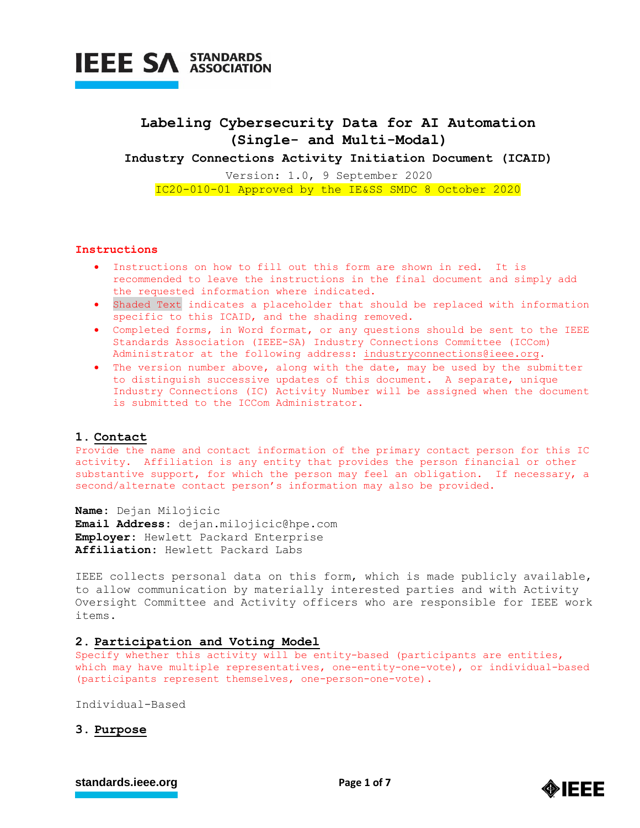

## **Labeling Cybersecurity Data for AI Automation (Single- and Multi-Modal)**

**Industry Connections Activity Initiation Document (ICAID)**

Version: 1.0, 9 September 2020 IC20-010-01 Approved by the IE&SS SMDC 8 October 2020

## **Instructions**

- Instructions on how to fill out this form are shown in red. It is recommended to leave the instructions in the final document and simply add the requested information where indicated.
- Shaded Text indicates a placeholder that should be replaced with information specific to this ICAID, and the shading removed.
- Completed forms, in Word format, or any questions should be sent to the IEEE Standards Association (IEEE-SA) Industry Connections Committee (ICCom) Administrator at the following address: [industryconnections@ieee.org.](mailto:industryconnections@ieee.org)
- The version number above, along with the date, may be used by the submitter to distinguish successive updates of this document. A separate, unique Industry Connections (IC) Activity Number will be assigned when the document is submitted to the ICCom Administrator.

## **1. Contact**

Provide the name and contact information of the primary contact person for this IC activity. Affiliation is any entity that provides the person financial or other substantive support, for which the person may feel an obligation. If necessary, a second/alternate contact person's information may also be provided.

**Name:** Dejan Milojicic **Email Address:** dejan.milojicic@hpe.com **Employer:** Hewlett Packard Enterprise **Affiliation:** Hewlett Packard Labs

IEEE collects personal data on this form, which is made publicly available, to allow communication by materially interested parties and with Activity Oversight Committee and Activity officers who are responsible for IEEE work items.

## **2. Participation and Voting Model**

Specify whether this activity will be entity-based (participants are entities, which may have multiple representatives, one-entity-one-vote), or individual-based (participants represent themselves, one-person-one-vote).

Individual-Based

## **3. Purpose**

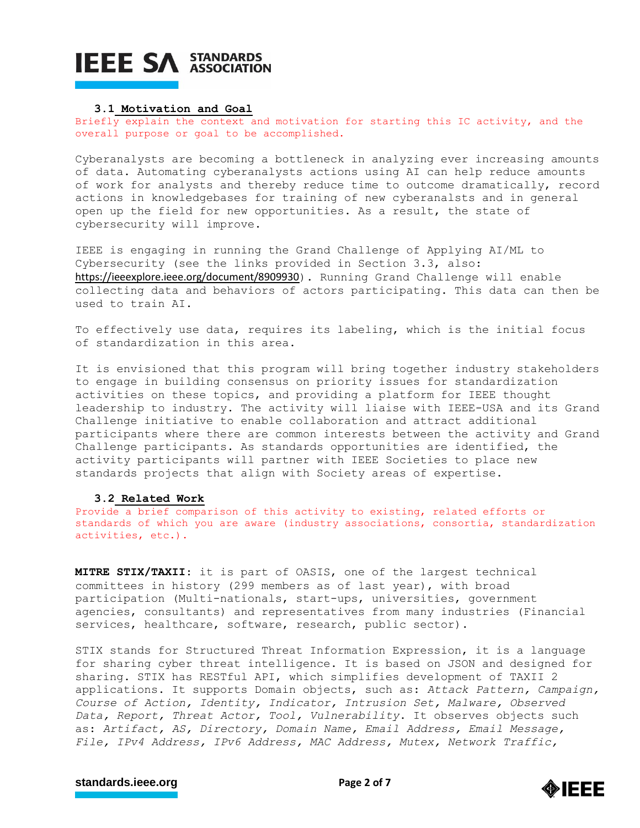#### **3.1 Motivation and Goal**

Briefly explain the context and motivation for starting this IC activity, and the overall purpose or goal to be accomplished.

Cyberanalysts are becoming a bottleneck in analyzing ever increasing amounts of data. Automating cyberanalysts actions using AI can help reduce amounts of work for analysts and thereby reduce time to outcome dramatically, record actions in knowledgebases for training of new cyberanalsts and in general open up the field for new opportunities. As a result, the state of cybersecurity will improve.

IEEE is engaging in running the Grand Challenge of Applying AI/ML to Cybersecurity (see the links provided in Section 3.3, also: <https://ieeexplore.ieee.org/document/8909930>). Running Grand Challenge will enable collecting data and behaviors of actors participating. This data can then be used to train AI.

To effectively use data, requires its labeling, which is the initial focus of standardization in this area.

It is envisioned that this program will bring together industry stakeholders to engage in building consensus on priority issues for standardization activities on these topics, and providing a platform for IEEE thought leadership to industry. The activity will liaise with IEEE-USA and its Grand Challenge initiative to enable collaboration and attract additional participants where there are common interests between the activity and Grand Challenge participants. As standards opportunities are identified, the activity participants will partner with IEEE Societies to place new standards projects that align with Society areas of expertise.

### **3.2 Related Work**

Provide a brief comparison of this activity to existing, related efforts or standards of which you are aware (industry associations, consortia, standardization activities, etc.).

**MITRE STIX/TAXII**: it is part of OASIS, one of the largest technical committees in history (299 members as of last year), with broad participation (Multi-nationals, start-ups, universities, government agencies, consultants) and representatives from many industries (Financial services, healthcare, software, research, public sector).

STIX stands for Structured Threat Information Expression, it is a language for sharing cyber threat intelligence. It is based on JSON and designed for sharing. STIX has RESTful API, which simplifies development of TAXII 2 applications. It supports Domain objects, such as: *Attack Pattern, Campaign, Course of Action, Identity, Indicator, Intrusion Set, Malware, Observed Data, Report, Threat Actor, Tool, Vulnerability*. It observes objects such as: *Artifact, AS, Directory, Domain Name, Email Address, Email Message, File, IPv4 Address, IPv6 Address, MAC Address, Mutex, Network Traffic,* 

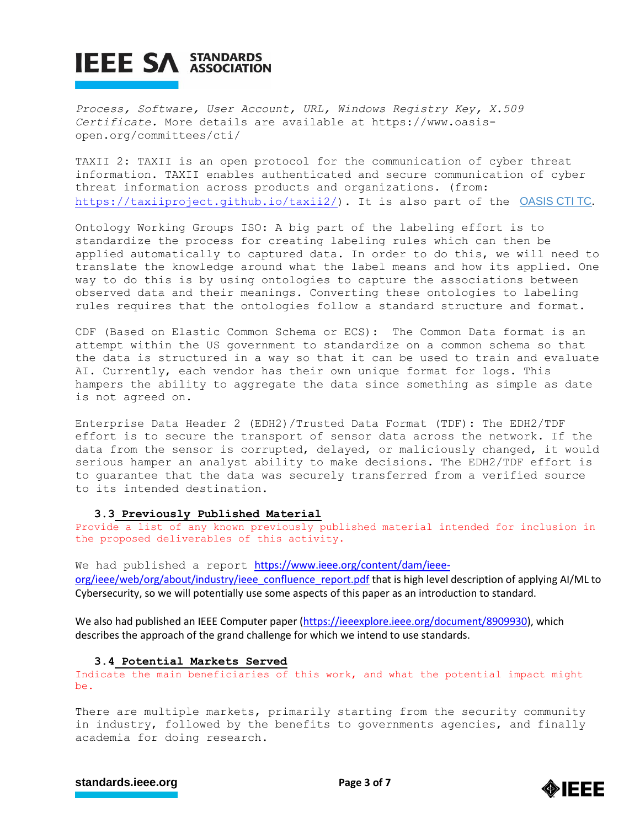*Process, Software, User Account, URL, Windows Registry Key, X.509 Certificate.* More details are available at https://www.oasisopen.org/committees/cti/

TAXII 2: TAXII is an open protocol for the communication of cyber threat information. TAXII enables authenticated and secure communication of cyber threat information across products and organizations. (from: [https://taxiiproject.github.io/taxii2/\)](https://taxiiproject.github.io/taxii2/). It is also part of the OASIS CTITC.

Ontology Working Groups ISO: A big part of the labeling effort is to standardize the process for creating labeling rules which can then be applied automatically to captured data. In order to do this, we will need to translate the knowledge around what the label means and how its applied. One way to do this is by using ontologies to capture the associations between observed data and their meanings. Converting these ontologies to labeling rules requires that the ontologies follow a standard structure and format.

CDF (Based on Elastic Common Schema or ECS): The Common Data format is an attempt within the US government to standardize on a common schema so that the data is structured in a way so that it can be used to train and evaluate AI. Currently, each vendor has their own unique format for logs. This hampers the ability to aggregate the data since something as simple as date is not agreed on.

Enterprise Data Header 2 (EDH2)/Trusted Data Format (TDF): The EDH2/TDF effort is to secure the transport of sensor data across the network. If the data from the sensor is corrupted, delayed, or maliciously changed, it would serious hamper an analyst ability to make decisions. The EDH2/TDF effort is to guarantee that the data was securely transferred from a verified source to its intended destination.

## **3.3 Previously Published Material**

Provide a list of any known previously published material intended for inclusion in the proposed deliverables of this activity.

We had published a report [https://www.ieee.org/content/dam/ieee](https://www.ieee.org/content/dam/ieee-org/ieee/web/org/about/industry/ieee_confluence_report.pdf)[org/ieee/web/org/about/industry/ieee\\_confluence\\_report.pdf](https://www.ieee.org/content/dam/ieee-org/ieee/web/org/about/industry/ieee_confluence_report.pdf) that is high level description of applying AI/ML to Cybersecurity, so we will potentially use some aspects of this paper as an introduction to standard.

We also had published an IEEE Computer paper [\(https://ieeexplore.ieee.org/document/8909930\)](https://ieeexplore.ieee.org/document/8909930), which describes the approach of the grand challenge for which we intend to use standards.

### **3.4 Potential Markets Served**

Indicate the main beneficiaries of this work, and what the potential impact might be.

There are multiple markets, primarily starting from the security community in industry, followed by the benefits to governments agencies, and finally academia for doing research.



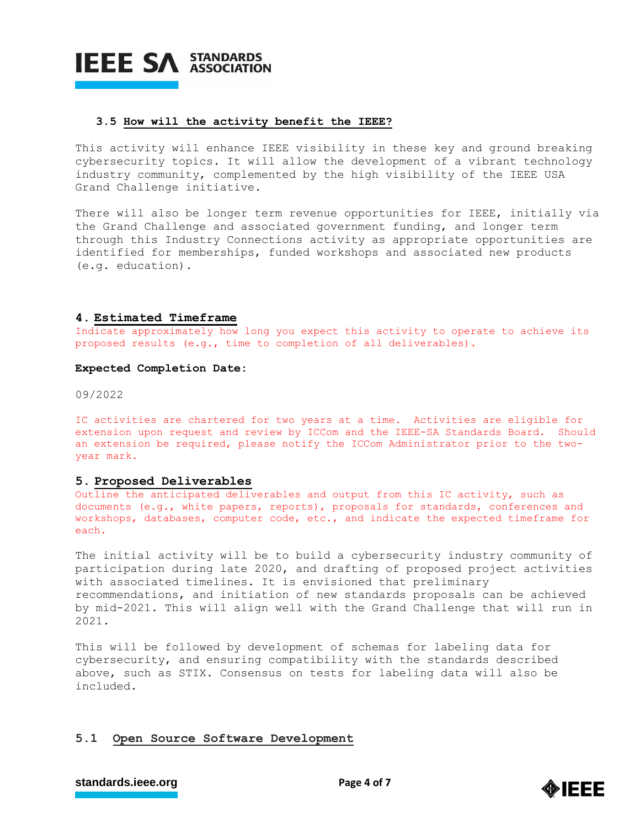

### **3.5 How will the activity benefit the IEEE?**

This activity will enhance IEEE visibility in these key and ground breaking cybersecurity topics. It will allow the development of a vibrant technology industry community, complemented by the high visibility of the IEEE USA Grand Challenge initiative.

There will also be longer term revenue opportunities for IEEE, initially via the Grand Challenge and associated government funding, and longer term through this Industry Connections activity as appropriate opportunities are identified for memberships, funded workshops and associated new products (e.g. education).

### **4. Estimated Timeframe**

Indicate approximately how long you expect this activity to operate to achieve its proposed results (e.g., time to completion of all deliverables).

## **Expected Completion Date:**

09/2022

IC activities are chartered for two years at a time. Activities are eligible for extension upon request and review by ICCom and the IEEE-SA Standards Board. Should an extension be required, please notify the ICCom Administrator prior to the twoyear mark.

### **5. Proposed Deliverables**

Outline the anticipated deliverables and output from this IC activity, such as documents (e.g., white papers, reports), proposals for standards, conferences and workshops, databases, computer code, etc., and indicate the expected timeframe for each.

The initial activity will be to build a cybersecurity industry community of participation during late 2020, and drafting of proposed project activities with associated timelines. It is envisioned that preliminary recommendations, and initiation of new standards proposals can be achieved by mid-2021. This will align well with the Grand Challenge that will run in 2021.

This will be followed by development of schemas for labeling data for cybersecurity, and ensuring compatibility with the standards described above, such as STIX. Consensus on tests for labeling data will also be included.

## **5.1 Open Source Software Development**

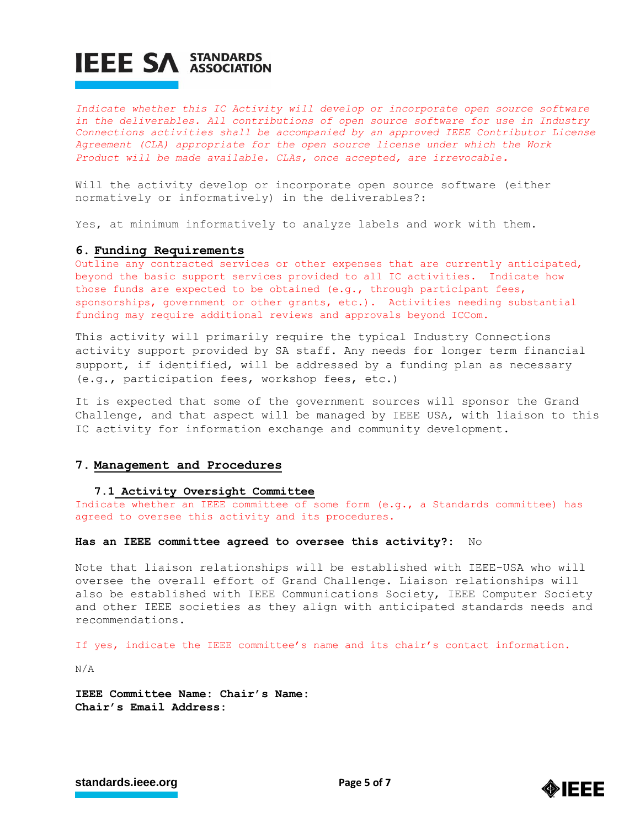*Indicate whether this IC Activity will develop or incorporate open source software in the deliverables. All contributions of open source software for use in Industry Connections activities shall be accompanied by an approved IEEE Contributor License Agreement (CLA) appropriate for the open source license under which the Work Product will be made available. CLAs, once accepted, are irrevocable.*

Will the activity develop or incorporate open source software (either normatively or informatively) in the deliverables?:

Yes, at minimum informatively to analyze labels and work with them.

### **6. Funding Requirements**

Outline any contracted services or other expenses that are currently anticipated, beyond the basic support services provided to all IC activities. Indicate how those funds are expected to be obtained (e.g., through participant fees, sponsorships, government or other grants, etc.). Activities needing substantial funding may require additional reviews and approvals beyond ICCom.

This activity will primarily require the typical Industry Connections activity support provided by SA staff. Any needs for longer term financial support, if identified, will be addressed by a funding plan as necessary (e.g., participation fees, workshop fees, etc.)

It is expected that some of the government sources will sponsor the Grand Challenge, and that aspect will be managed by IEEE USA, with liaison to this IC activity for information exchange and community development.

## **7. Management and Procedures**

#### **7.1 Activity Oversight Committee**

Indicate whether an IEEE committee of some form (e.g., a Standards committee) has agreed to oversee this activity and its procedures.

#### **Has an IEEE committee agreed to oversee this activity?:** No

Note that liaison relationships will be established with IEEE-USA who will oversee the overall effort of Grand Challenge. Liaison relationships will also be established with IEEE Communications Society, IEEE Computer Society and other IEEE societies as they align with anticipated standards needs and recommendations.

If yes, indicate the IEEE committee's name and its chair's contact information.

N/A

**IEEE Committee Name: Chair's Name: Chair's Email Address:**

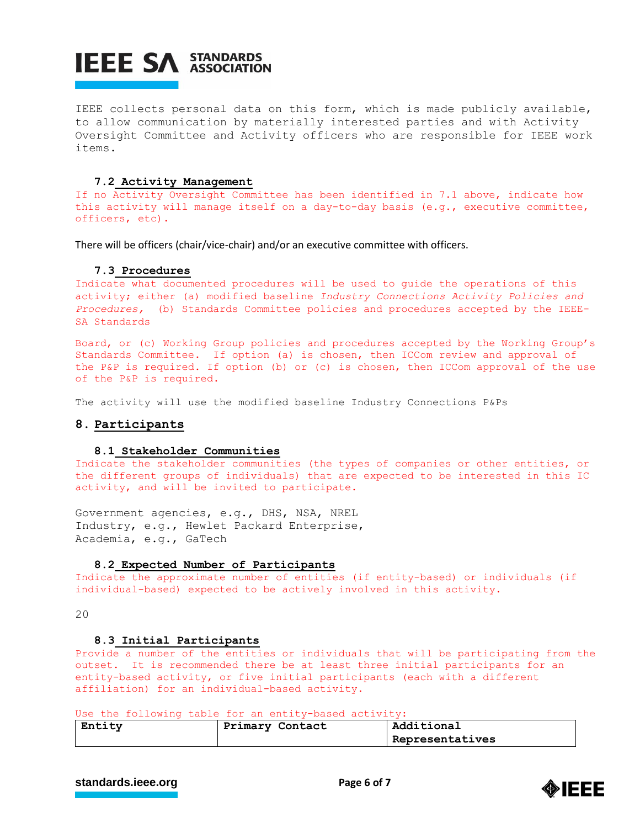IEEE collects personal data on this form, which is made publicly available, to allow communication by materially interested parties and with Activity Oversight Committee and Activity officers who are responsible for IEEE work items.

## **7.2 Activity Management**

If no Activity Oversight Committee has been identified in 7.1 above, indicate how this activity will manage itself on a day-to-day basis (e.g., executive committee, officers, etc).

There will be officers (chair/vice-chair) and/or an executive committee with officers.

### **7.3 Procedures**

Indicate what documented procedures will be used to guide the operations of this activity; either (a) modified baseline *Industry Connections Activity Policies and Procedures,* (b) Standards Committee policies and procedures accepted by the IEEE-SA Standards

Board, or (c) Working Group policies and procedures accepted by the Working Group's Standards Committee. If option (a) is chosen, then ICCom review and approval of the P&P is required. If option (b) or (c) is chosen, then ICCom approval of the use of the P&P is required.

The activity will use the modified baseline Industry Connections P&Ps

## **8. Participants**

#### **8.1 Stakeholder Communities**

Indicate the stakeholder communities (the types of companies or other entities, or the different groups of individuals) that are expected to be interested in this IC activity, and will be invited to participate.

Government agencies, e.g., DHS, NSA, NREL Industry, e.g., Hewlet Packard Enterprise, Academia, e.g., GaTech

#### **8.2 Expected Number of Participants**

Indicate the approximate number of entities (if entity-based) or individuals (if individual-based) expected to be actively involved in this activity.

20

#### **8.3 Initial Participants**

Provide a number of the entities or individuals that will be participating from the outset. It is recommended there be at least three initial participants for an entity-based activity, or five initial participants (each with a different affiliation) for an individual-based activity.

Use the following table for an entity-based activity:

| Entity | Primary Contact | Additional      |  |
|--------|-----------------|-----------------|--|
|        |                 | Representatives |  |